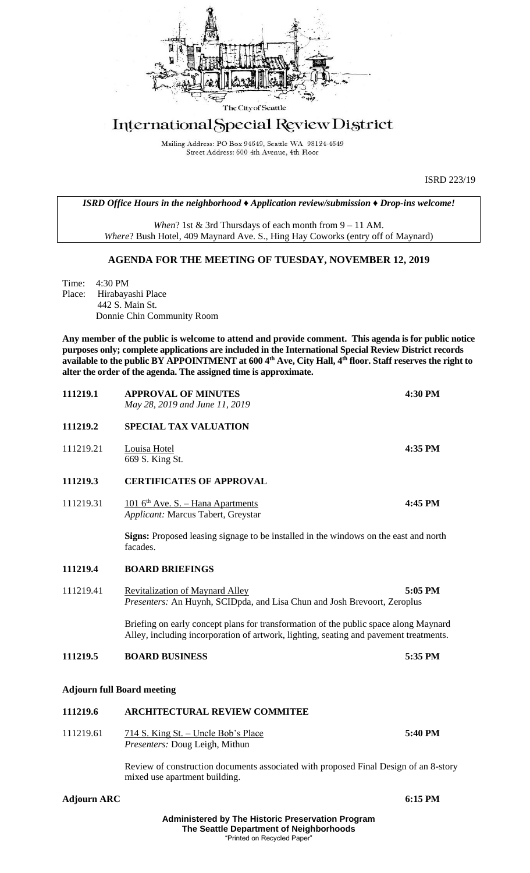

## International Special Review District

Mailing Address: PO Box 94649, Seattle WA 98124-4649 Street Address: 600 4th Avenue, 4th Floor

ISRD 223/19

*ISRD Office Hours in the neighborhood ♦ Application review/submission ♦ Drop-ins welcome!*

*When*? 1st & 3rd Thursdays of each month from 9 – 11 AM. *Where*? Bush Hotel, 409 Maynard Ave. S., Hing Hay Coworks (entry off of Maynard)

## **AGENDA FOR THE MEETING OF TUESDAY, NOVEMBER 12, 2019**

Time: 4:30 PM Place: Hirabayashi Place 442 S. Main St. Donnie Chin Community Room

**Any member of the public is welcome to attend and provide comment. This agenda is for public notice purposes only; complete applications are included in the International Special Review District records available to the public BY APPOINTMENT at 600 4th Ave, City Hall, 4th floor. Staff reserves the right to alter the order of the agenda. The assigned time is approximate.** 

| 111219.1  | <b>APPROVAL OF MINUTES</b><br>May 28, 2019 and June 11, 2019                                                                                                                  | 4:30 PM |
|-----------|-------------------------------------------------------------------------------------------------------------------------------------------------------------------------------|---------|
| 111219.2  | <b>SPECIAL TAX VALUATION</b>                                                                                                                                                  |         |
| 111219.21 | Louisa Hotel<br>669 S. King St.                                                                                                                                               | 4:35 PM |
| 111219.3  | <b>CERTIFICATES OF APPROVAL</b>                                                                                                                                               |         |
| 111219.31 | $1016^{\text{th}}$ Ave. S. - Hana Apartments<br>Applicant: Marcus Tabert, Greystar                                                                                            | 4:45 PM |
|           | Signs: Proposed leasing signage to be installed in the windows on the east and north<br>facades.                                                                              |         |
| 111219.4  | <b>BOARD BRIEFINGS</b>                                                                                                                                                        |         |
| 111219.41 | <b>Revitalization of Maynard Alley</b><br>Presenters: An Huynh, SCIDpda, and Lisa Chun and Josh Brevoort, Zeroplus                                                            | 5:05 PM |
|           | Briefing on early concept plans for transformation of the public space along Maynard<br>Alley, including incorporation of artwork, lighting, seating and pavement treatments. |         |
| 111219.5  | <b>BOARD BUSINESS</b>                                                                                                                                                         | 5:35 PM |
|           | <b>Adjourn full Board meeting</b>                                                                                                                                             |         |
| 111219.6  | <b>ARCHITECTURAL REVIEW COMMITEE</b>                                                                                                                                          |         |
| 111219.61 | 714 S. King St. - Uncle Bob's Place<br>Presenters: Doug Leigh, Mithun                                                                                                         | 5:40 PM |
|           | Doview of construction documents essecuted with nuonesed Einel Design of an 9 stor                                                                                            |         |

Review of construction documents associated with proposed Final Design of an 8-story mixed use apartment building.

**Adjourn ARC 6:15 PM**